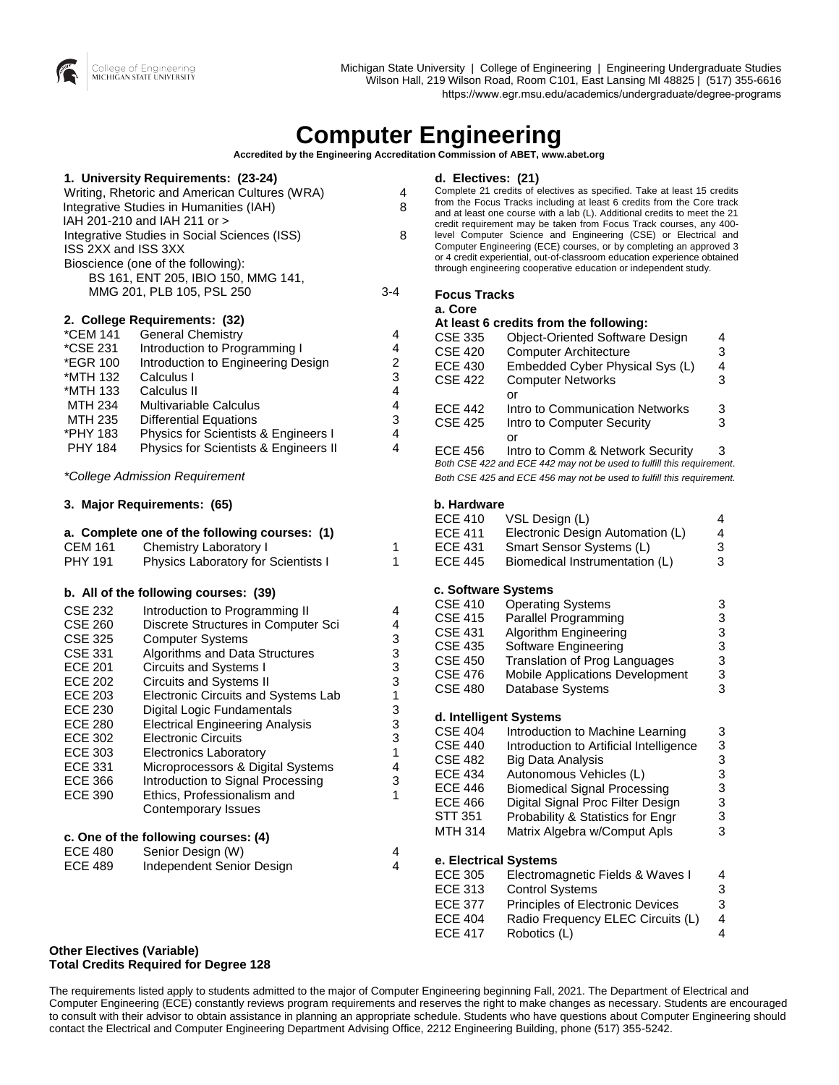

# **Computer Engineering**

**Accredited by the Engineering Accreditation Commission of ABET[, www.abet.org](http://www.abet.org)**

| ISS 2XX and ISS 3XX                                                                                                                                                                                                                               | 1. University Requirements: (23-24)<br>Writing, Rhetoric and American Cultures (WRA)<br>Integrative Studies in Humanities (IAH)<br>IAH 201-210 and IAH 211 or ><br>Integrative Studies in Social Sciences (ISS)<br>Bioscience (one of the following):<br>BS 161, ENT 205, IBIO 150, MMG 141,<br>MMG 201, PLB 105, PSL 250                                                                                                                                                                             | 4<br>8<br>8<br>$3 - 4$                                             |
|---------------------------------------------------------------------------------------------------------------------------------------------------------------------------------------------------------------------------------------------------|-------------------------------------------------------------------------------------------------------------------------------------------------------------------------------------------------------------------------------------------------------------------------------------------------------------------------------------------------------------------------------------------------------------------------------------------------------------------------------------------------------|--------------------------------------------------------------------|
| *CEM 141<br>*CSE 231<br>*EGR 100<br>*MTH 132<br>*MTH 133<br>MTH 234<br>MTH 235<br>*PHY 183<br><b>PHY 184</b>                                                                                                                                      | 2. College Requirements: (32)<br><b>General Chemistry</b><br>Introduction to Programming I<br>Introduction to Engineering Design<br>Calculus I<br>Calculus II<br><b>Multivariable Calculus</b><br><b>Differential Equations</b><br>Physics for Scientists & Engineers I<br>Physics for Scientists & Engineers II                                                                                                                                                                                      | 4<br>4<br>2<br>3<br>4<br>4<br>3<br>4<br>4                          |
|                                                                                                                                                                                                                                                   | *College Admission Requirement                                                                                                                                                                                                                                                                                                                                                                                                                                                                        |                                                                    |
|                                                                                                                                                                                                                                                   | 3. Major Requirements: (65)                                                                                                                                                                                                                                                                                                                                                                                                                                                                           |                                                                    |
| <b>CEM 161</b><br><b>PHY 191</b>                                                                                                                                                                                                                  | a. Complete one of the following courses: (1)<br>Chemistry Laboratory I<br>Physics Laboratory for Scientists I                                                                                                                                                                                                                                                                                                                                                                                        | 1<br>1                                                             |
|                                                                                                                                                                                                                                                   | b. All of the following courses: (39)                                                                                                                                                                                                                                                                                                                                                                                                                                                                 |                                                                    |
| <b>CSE 232</b><br><b>CSE 260</b><br><b>CSE 325</b><br><b>CSE 331</b><br><b>ECE 201</b><br><b>ECE 202</b><br><b>ECE 203</b><br><b>ECE 230</b><br><b>ECE 280</b><br><b>ECE 302</b><br><b>ECE 303</b><br><b>ECE 331</b><br>ECE 366<br><b>ECE 390</b> | Introduction to Programming II<br>Discrete Structures in Computer Sci<br><b>Computer Systems</b><br>Algorithms and Data Structures<br>Circuits and Systems I<br>Circuits and Systems II<br>Electronic Circuits and Systems Lab<br>Digital Logic Fundamentals<br><b>Electrical Engineering Analysis</b><br><b>Electronic Circuits</b><br><b>Electronics Laboratory</b><br>Microprocessors & Digital Systems<br>Introduction to Signal Processing<br>Ethics, Professionalism and<br>Contemporary Issues | 4<br>4<br>3<br>3<br>3<br>3<br>1<br>3<br>3<br>3<br>1<br>4<br>3<br>1 |
| <b>ECE 480</b><br><b>ECE 489</b>                                                                                                                                                                                                                  | c. One of the following courses: (4)<br>Senior Design (W)<br>Independent Senior Design                                                                                                                                                                                                                                                                                                                                                                                                                | 4<br>4                                                             |
|                                                                                                                                                                                                                                                   |                                                                                                                                                                                                                                                                                                                                                                                                                                                                                                       |                                                                    |

### **d. Electives: (21)**

Complete 21 credits of electives as specified. Take at least 15 credits from the Focus Tracks including at least 6 credits from the Core track and at least one course with a lab (L). Additional credits to meet the 21 credit requirement may be taken from Focus Track courses, any 400 level Computer Science and Engineering (CSE) or Electrical and Computer Engineering (ECE) courses, or by completing an approved 3 or 4 credit experiential, out-of-classroom education experience obtained through engineering cooperative education or independent study.

| <b>Focus Tracks</b> |  |
|---------------------|--|
|---------------------|--|

#### **a. Core**

#### **At least 6 credits from the following:**

| <b>CSE 335</b> | <b>Object-Oriented Software Design</b>                                | 4 |
|----------------|-----------------------------------------------------------------------|---|
| <b>CSE 420</b> | <b>Computer Architecture</b>                                          | 3 |
| <b>ECE 430</b> | Embedded Cyber Physical Sys (L)                                       | 4 |
| <b>CSE 422</b> | <b>Computer Networks</b>                                              | 3 |
|                | Ωr                                                                    |   |
| <b>ECE 442</b> | Intro to Communication Networks                                       | 3 |
| <b>CSE 425</b> | Intro to Computer Security                                            | 3 |
|                | or                                                                    |   |
| <b>ECE 456</b> | Intro to Comm & Network Security                                      | 3 |
|                | Both CSE 422 and ECE 442 may not be used to fulfill this requirement. |   |
|                | Both CSE 425 and ECE 456 may not be used to fulfill this requirement. |   |

#### **b. Hardware**

| ECE 410 | VSL Design (L)                   | 4 |
|---------|----------------------------------|---|
| ECE 411 | Electronic Design Automation (L) | 4 |
| ECE 431 | Smart Sensor Systems (L)         | з |
| ECE 445 | Biomedical Instrumentation (L)   | 3 |
|         |                                  |   |

#### **c. Software Systems**

| <b>CSE 410</b>        | <b>Operating Systems</b>                | 3 |
|-----------------------|-----------------------------------------|---|
| <b>CSE 415</b>        | Parallel Programming                    | 3 |
| <b>CSE 431</b>        | Algorithm Engineering                   | 3 |
| <b>CSE 435</b>        | Software Engineering                    | 3 |
| <b>CSE 450</b>        | Translation of Prog Languages           | 3 |
| <b>CSE 476</b>        | <b>Mobile Applications Development</b>  | 3 |
| <b>CSE 480</b>        | Database Systems                        | 3 |
|                       | d. Intelligent Systems                  |   |
| <b>CSE 404</b>        | Introduction to Machine Learning        | 3 |
| <b>CSE 440</b>        | Introduction to Artificial Intelligence | 3 |
| CSE 482               | Big Data Analysis                       | 3 |
| <b>ECE 434</b>        | Autonomous Vehicles (L)                 | 3 |
| ECE 446               | <b>Biomedical Signal Processing</b>     | 3 |
| ECE 466               | Digital Signal Proc Filter Design       | 3 |
| STT 351               | Probability & Statistics for Engr       | 3 |
| MTH 314               | Matrix Algebra w/Comput Apls            | 3 |
| e. Electrical Systems |                                         |   |
| <b>ECE 305</b>        | Electromagnetic Fields & Waves I        | 4 |
| ECE 313               | <b>Control Systems</b>                  | 3 |
| <b>ECE 377</b>        | Principles of Electronic Devices        | 3 |
| <b>ECE 404</b>        | Radio Frequency ELEC Circuits (L)       | 4 |
| <b>ECE 417</b>        | Robotics (L)                            | 4 |
|                       |                                         |   |

**Other Electives (Variable) Total Credits Required for Degree 128**

The requirements listed apply to students admitted to the major of Computer Engineering beginning Fall, 2021. The Department of Electrical and Computer Engineering (ECE) constantly reviews program requirements and reserves the right to make changes as necessary. Students are encouraged to consult with their advisor to obtain assistance in planning an appropriate schedule. Students who have questions about Computer Engineering should contact the Electrical and Computer Engineering Department Advising Office, 2212 Engineering Building, phone (517) 355-5242.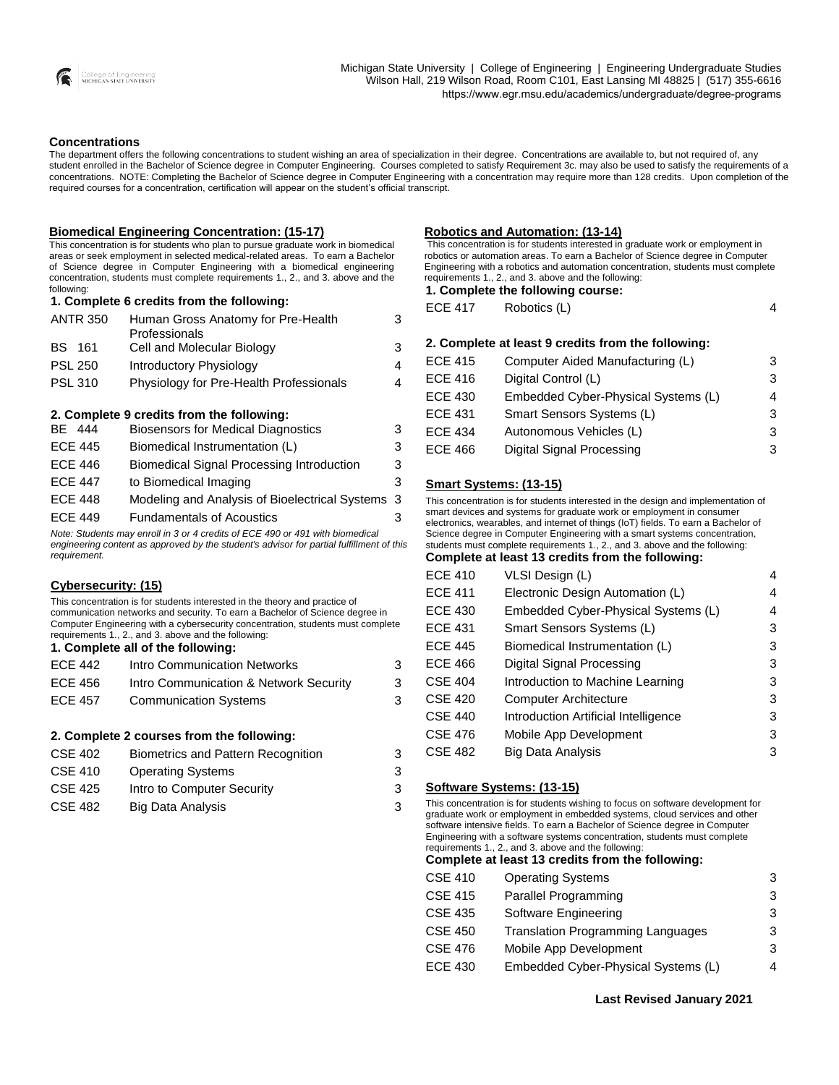

#### **Concentrations**

The department offers the following concentrations to student wishing an area of specialization in their degree. Concentrations are available to, but not required of, any student enrolled in the Bachelor of Science degree in Computer Engineering. Courses completed to satisfy Requirement 3c. may also be used to satisfy the requirements of a concentrations. NOTE: Completing the Bachelor of Science degree in Computer Engineering with a concentration may require more than 128 credits. Upon completion of the required courses for a concentration, certification will appear on the student's official transcript.

#### **Biomedical Engineering Concentration: (15-17)**

This concentration is for students who plan to pursue graduate work in biomedical areas or seek employment in selected medical-related areas. To earn a Bachelor of Science degree in Computer Engineering with a biomedical engineering concentration, students must complete requirements 1., 2., and 3. above and the following:

**1. Complete 6 credits from the following:**

| <b>ANTR 350</b> | Human Gross Anatomy for Pre-Health      | 3 |
|-----------------|-----------------------------------------|---|
|                 | Professionals                           |   |
| BS 161          | Cell and Molecular Biology              | 3 |
| <b>PSL 250</b>  | Introductory Physiology                 | 4 |
| <b>PSL 310</b>  | Physiology for Pre-Health Professionals | 4 |

|                | 2. Complete 9 credits from the following:        |   |
|----------------|--------------------------------------------------|---|
| BE 444         | <b>Biosensors for Medical Diagnostics</b>        | 3 |
| <b>ECE 445</b> | Biomedical Instrumentation (L)                   | 3 |
| <b>ECE 446</b> | <b>Biomedical Signal Processing Introduction</b> | 3 |
| <b>ECE 447</b> | to Biomedical Imaging                            | 3 |
| <b>ECE 448</b> | Modeling and Analysis of Bioelectrical Systems 3 |   |
| <b>ECE 449</b> | <b>Fundamentals of Acoustics</b>                 | 3 |
|                |                                                  |   |

*Note: Students may enroll in 3 or 4 credits of ECE 490 or 491 with biomedical engineering content as approved by the student's advisor for partial fulfillment of this requirement.*

| Cybersecurity: (15)                                                                                                                                                                                                                                                                                                                         |                                        |   |
|---------------------------------------------------------------------------------------------------------------------------------------------------------------------------------------------------------------------------------------------------------------------------------------------------------------------------------------------|----------------------------------------|---|
| This concentration is for students interested in the theory and practice of<br>communication networks and security. To earn a Bachelor of Science degree in<br>Computer Engineering with a cybersecurity concentration, students must complete<br>requirements 1., 2., and 3. above and the following:<br>1. Complete all of the following: |                                        |   |
| <b>ECE 442</b>                                                                                                                                                                                                                                                                                                                              | Intro Communication Networks           | 3 |
| ECE 456                                                                                                                                                                                                                                                                                                                                     | Intro Communication & Network Security | 3 |
| <b>ECE 457</b>                                                                                                                                                                                                                                                                                                                              | <b>Communication Systems</b>           | 3 |
| 2. Complete 2 courses from the following:                                                                                                                                                                                                                                                                                                   |                                        |   |

| CSE 402        | <b>Biometrics and Pattern Recognition</b> | 3 |
|----------------|-------------------------------------------|---|
| <b>CSE 410</b> | <b>Operating Systems</b>                  | 3 |
| CSE 425        | Intro to Computer Security                | 3 |
| CSE 482        | Big Data Analysis                         | 3 |

#### **Robotics and Automation: (13-14)**

This concentration is for students interested in graduate work or employment in robotics or automation areas. To earn a Bachelor of Science degree in Computer Engineering with a robotics and automation concentration, students must complete requirements 1., 2., and 3. above and the following:

**1. Complete the following course:**

ECE 417 Robotics (L) 4

|                | 2. Complete at least 9 credits from the following: |   |
|----------------|----------------------------------------------------|---|
| <b>ECE 415</b> | Computer Aided Manufacturing (L)                   | З |
| <b>ECE 416</b> | Digital Control (L)                                | 3 |
| <b>ECE 430</b> | Embedded Cyber-Physical Systems (L)                | 4 |
| <b>ECE 431</b> | Smart Sensors Systems (L)                          | 3 |
| <b>ECE 434</b> | Autonomous Vehicles (L)                            | 3 |
| <b>ECE 466</b> | Digital Signal Processing                          | 3 |
|                |                                                    |   |

#### **Smart Systems: (13-15)**

This concentration is for students interested in the design and implementation of smart devices and systems for graduate work or employment in consumer electronics, wearables, and internet of things (IoT) fields. To earn a Bachelor of Science degree in Computer Engineering with a smart systems concentration, students must complete requirements 1., 2., and 3. above and the following:

#### **Complete at least 13 credits from the following:**

| <b>ECE 410</b> | VLSI Design (L)                      | 4 |
|----------------|--------------------------------------|---|
| <b>ECE 411</b> | Electronic Design Automation (L)     | 4 |
| <b>ECE 430</b> | Embedded Cyber-Physical Systems (L)  | 4 |
| <b>ECE 431</b> | Smart Sensors Systems (L)            | 3 |
| <b>ECE 445</b> | Biomedical Instrumentation (L)       | 3 |
| <b>ECE 466</b> | Digital Signal Processing            | 3 |
| <b>CSE 404</b> | Introduction to Machine Learning     | 3 |
| <b>CSE 420</b> | <b>Computer Architecture</b>         | 3 |
| <b>CSE 440</b> | Introduction Artificial Intelligence | 3 |
| <b>CSE 476</b> | Mobile App Development               | 3 |
| <b>CSE 482</b> | Big Data Analysis                    | 3 |
|                |                                      |   |

#### **Software Systems: (13-15)**

This concentration is for students wishing to focus on software development for graduate work or employment in embedded systems, cloud services and other software intensive fields. To earn a Bachelor of Science degree in Computer Engineering with a software systems concentration, students must complete requirements 1., 2., and 3. above and the following:

**Complete at least 13 credits from the following:**

| <b>CSE 410</b> | <b>Operating Systems</b>                 | 3 |
|----------------|------------------------------------------|---|
| CSE 415        | Parallel Programming                     | 3 |
| CSE 435        | Software Engineering                     | 3 |
| CSE 450        | <b>Translation Programming Languages</b> | 3 |
| CSE 476        | Mobile App Development                   | 3 |
| ECE 430        | Embedded Cyber-Physical Systems (L)      | 4 |

**Last Revised January 2021**